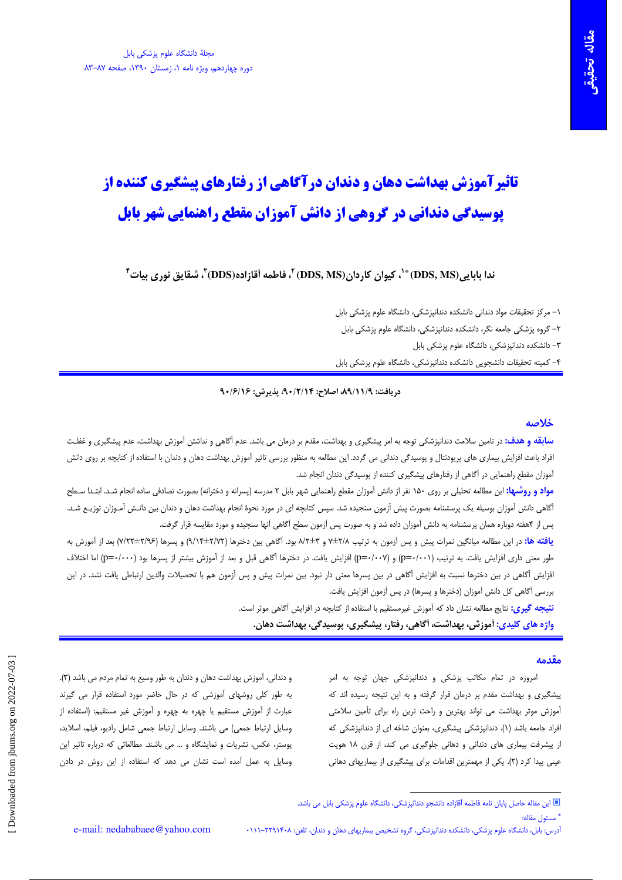# **تاثیرآموزش بهداشت دهان و دندان درآگاهی از رفتارهای پیشگیری کننده از یوسیدگی دندانی در گروهی از دانش آموزان مقطع راهنمایی شهر بابل**

## $^{\mathfrak{r}}$ ، ندا بابابی (DDS, MS) (DDS, MS) (DDS, MS) (DDS, MS) )، فاطمه أقا;اده (DDS) (DDS) شقايق نوری بیات

۱– مرکز تحقیقات مواد دندانی دانشکده دندانپزشکی، دانشگاه علوم پزشکی بابل

۲– گروه پزشکی جامعه نگر، دانشکده دندانپزشکی، دانشگاه علوم پزشکی بابل

۳– دانشکده دندانیزشکی، دانشگاه علوم پزشکی بابل

۴– کمیته تحقیقات دانشجویی دانشکده دندانپزشکی، دانشگاه علوم پزشکی بابل

### دريافت: ٨٩/١١/٩، اصلاح: ٩٠/٢/١۴، يذيرش: ٩٠/٦/١۶

## خلاصه

**سابقه و هدف:** در تامین سلامت دندانپزشکی توجه به امر پیشگیری و بهداشت، مقدم بر درمان می باشد. عدم آگاهی و نداشتن آموزش بهداشت، عدم پیشگیری و غفلت افراد باعث افزایش بیماری های پریودنتال و پوسیدگی دندانی می گردد. این مطالعه به منظور بررسی تاثیر آموزش بهداشت دهان و دندان با استفاده از کتابچه بر روی دانش آموزان مقطع راهنمایی در آگاهی از رفتارهای پیشگیری کننده از پوسیدگی دندان انجام شد.

**مواد و روشبها:** این مطالعه تحلیلی بر روی ۱۵۰ نفر از دانش آموزان مقطع راهنمایی شهر بابل ۲ مدرسه (پسرانه و دخترانه) بصورت تصادفی ساده انجام شد. ابتـدا سـطح آگاهی دانش آموزان بوسیله یک پرسشنامه بصورت پیش آزمون سنجیده شد. سپس کتابچه ای در مورد نحوهٔ انجام بهداشت دهان و دندان بین دانـش آمـوزان توزیـع شـد. پس از ۴هفته دوباره همان پرسشنامه به دانش آموزان داده شد و به صورت پس آزمون سطح آگاهی آنها سنجیده و مورد مقایسه قرار گرفت.

**یافته ها:** در این مطالعه میانگین نمرات پیش و پس آزمون به ترتیب ۲/۸×لخا و ۳±۷/ بود. آگاهی بین دخترها (۹/۱۷+۲×۱/۲) بعد از آموزش به طور معنى دارى افزايش يافت. به ترتيب (p=-/۰۰۱) و (p=-/۰۰۲) افزايش يافت. در دخترها آگاهي قبل و بعد از آموزش بيشتر از پسرها بود (p=-/۰۰۰) اما اختلاف افزایش أگاهی در بین دخترها نسبت به افزایش آگاهی در بین پسرها معنی دار نبود. بین نمرات پیش و پس آزمون هم با تحصیلات والدین ارتباطی یافت نشد. در این بررسی آگاهی کل دانش آموزان (دخترها و پسرها) در پس آزمون افزایش یافت.

> <mark>نتیجه گیری:</mark> نتایج مطالعه نشان داد که آموزش غیرمستقیم با استفاده از کتابچه در افزایش آگاهی موثر است. واژه های کلیدی: آموزش، بهداشت، آگاهی، رفتار، پیشگیری، پوسی*دگی*، بهداشت دهان.

### مقدمه

امروزه در تمام مکاتب پزشکی و دندانپزشکی جهان توجه به امر پیشگیری و بهداشت مقدم بر درمان قرار گرفته و به این نتیجه رسیده اند که آموزش موثر بهداشت می تواند بهترین و راحت ترین راه برای تأمین سلامتی افراد جامعه باشد (۱). دندانیزشکی پیشگیری، بعنوان شاخه ای از دندانیزشکی که از پیشرفت بیماری های دندانی و دهانی جلوگیری می کند، از قرن ١٨ هویت عینی پیدا کرد (۲). یکی از مهمترین اقدامات برای پیشگیری از بیماریهای دهانی

و دندانی، آموزش بهداشت دهان و دندان به طور وسیع به تمام مردم می باشد (۳). به طور کلی روشهای آموزشی که در حال حاضر مورد استفاده قرار می گیرند عبارت از آموزش مستقیم یا چهره به چهره و آموزش غیر مستقیم: (استفاده از وسایل ارتباط جمعی) می باشند. وسایل ارتباط جمعی شامل رادیو، فیلم، اسلاید، پوستر، عکس، نشریات و نمایشگاه و … می باشند. مطالعاتی که درباره تاثیر این وسایل به عمل آمده است نشان می دهد که استفاده از این روش در دادن

<sup>»</sup> مسئول مقاله:

آدرس: بابل، دانشگاه علوم پزشکی، دانشکده دندانپزشکی، گروه تشخیص بیماریهای دهان و دندان، تلفن: ۲۲۹۱۴۰۸–۱۱۱۰

<sup>■</sup> این مقاله حاصل پایان نامه فاطمه آقازاده دانشجو دندانپزشکی، دانشگاه علوم پزشکی بابل می باشد.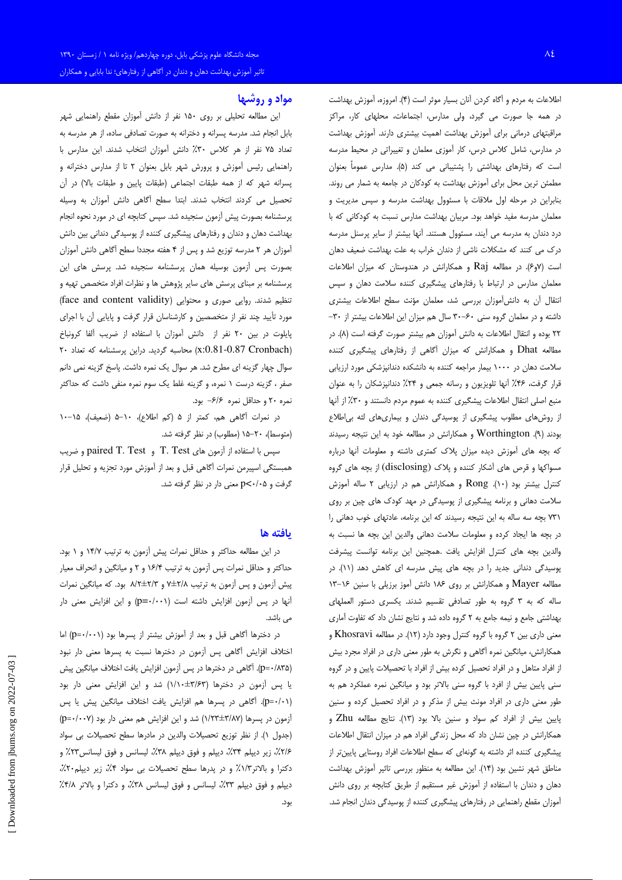اطلاعات به مردم و آگاه كردن آنان بسيار موثر است (۴). امروزه، آموزش بهداشت در همه جا صورت می گیرد، ولی مدارس، اجتماعات، محلهای کار، مراکز مراقبتهای درمانی برای آموزش بهداشت اهمیت بیشتری دارند. آموزش بهداشت در مدارس، شامل کلاس درس، کار آموزی معلمان و تغییراتی در محیط مدرسه است که رفتارهای بهداشتی را پشتیبانی می کند (۵). مدارس عموماً بعنوان مطمئن ترین محل برای آموزش بهداشت به کودکان در جامعه به شمار می روند. بنابراین در مرحله اول ملاقات با مسئوول بهداشت مدرسه و سپس مدیریت و معلمان مدرسه مفيد خواهد بود. مربيان بهداشت مدارس نسبت به كودكانى كه با درد دندان به مدرسه می آیند، مسئوول هستند. آنها بیشتر از سایر پرسنل مدرسه درک می کنند که مشکلات ناشی از دندان خراب به علت بهداشت ضعیف دهان است (۶و۶). در مطالعه Raj و همکارانش در هندوستان که میزان اطلاعات معلمان مدارس در ارتباط با رفتارهای پیشگیری کننده سلامت دهان و سپس انتقال أن به دانشآموزان بررسى شد، معلمان مؤنث سطح اطلاعات بيشترى داشته و در معلمان گروه سنی ۶۰-۳۰ سال هم میزان این اطلاعات بیشتر از ۳۰-٢٢ بوده و انتقال اطلاعات به دانش آموزان هم بيشتر صورت گرفته است (٨). در مطالعه Dhat و همکارانش که میزان آگاهی از رفتارهای پیشگیری کننده سلامت دهان در ۱۰۰۰ بیمار مراجعه کننده به دانشکده دندانپزشکی مورد ارزیابی قرار گرفت، ۴۶٪ آنها تلویزیون و رسانه جمعی و ۲۴٪ دندانیزشکان را به عنوان منبع اصلی انتقال اطلاعات پیشگیری کننده به عموم مردم دانستند و ۳۰٪ از آنها از روشهای مطلوب پیشگیری از پوسیدگی دندان و بیماریهای لثه بی اطلاع بودند (۹). Worthington و همكارانش در مطالعه خود به اين نتيجه رسيدند که بچه های آموزش دیده میزان پلاک کمتری داشته و معلومات آنها درباره مسواکها و قرص های آشکار کننده و پلاک (disclosing) از بچه های گروه کنترل بیشتر بود (١٠). Rong و همکارانش هم در ارزیابی ٢ ساله آموزش سلامت دهانی و برنامه پیشگیری از پوسیدگی در مهد کودک های چین بر روی ٬۳۱ بچه سه ساله به این نتیجه رسیدند که این برنامه، عادتهای خوب دهانی را در بچه ها ایجاد کرده و معلومات سلامت دهانی والدین این بچه ها نسبت به والدين بچه هاى كنترل افزايش يافت .همچنين اين برنامه توانست پيشرفت پوسیدگی دندانی جدید را در بچه های پیش مدرسه ای کاهش دهد (١١). در مطالعه Mayer و همكارانش بر روى ١٨۶ دانش آموز برزيلي با سنين ١۶-١٣ ساله که به ۳ گروه به طور تصادفی تقسیم شدند. یکسری دستور العملهای بهداشتی جامع و نیمه جامع به ۲ گروه داده شد و نتایج نشان داد که تفاوت آماری معنی داری بین ۲ گروه با گروه کنترل وجود دارد (۱۲). در مطالعه Khosravi و همکارانش، میانگین نمره آگاهی و نگرش به طور معنی داری در افراد مجرد بیش از افراد متاهل و در افراد تحصیل کرده بیش از افراد با تحصیلات پایین و در گروه سنی پایین بیش از افرد با گروه سنی بالاتر بود و میانگین نمره عملکرد هم به طور معنی داری در افراد مونث بیش از مذکر و در افراد تحصیل کرده و سنین پایین بیش از افراد کم سواد و سنین بالا بود (١٣). نتایج مطالعه Zhu و همکارانش در چین نشان داد که محل زندگی افراد هم در میزان انتقال اطلاعات پیشگیری کننده اثر داشته به گونهای که سطح اطلاعات افراد روستایی پایین تر از مناطق شهر نشین بود (١۴). این مطالعه به منظور بررسی تاثیر آموزش بهداشت دهان و دندان با استفاده از آموزش غیر مستقیم از طریق کتابچه بر روی دانش آموزان مقطع راهنمایی در رفتارهای پیشگیری کننده از پوسیدگی دندان انجام شد.

## مواد و روشتها

این مطالعه تحلیلی بر روی ۱۵۰ نفر از دانش آموزان مقطع راهنمایی شهر بابل انجام شد. مدرسه پسرانه و دخترانه به صورت تصادفی ساده، از هر مدرسه به تعداد ۷۵ نفر از هر کلاس ۳۰٪ دانش آموزان انتخاب شدند. این مدارس با راهنمایی رئیس آموزش و پرورش شهر بابل بعنوان ٢ تا از مدارس دخترانه و پسرانه شهر كه از همه طبقات اجتماعى (طبقات پايين و طبقات بالا) در آن تحصیل می کردند انتخاب شدند. ابتدا سطح آگاهی دانش آموزان به وسیله پرسشنامه بصورت پیش آزمون سنجیده شد. سپس کتابچه ای در مورد نحوه انجام بهداشت دهان و دندان و رفتارهای پیشگیری کننده از پوسیدگی دندانی بین دانش آموزان هر ۲ مدرسه توزیع شد و پس از ۴ هفته مجددا سطح آگاهی دانش آموزان بصورت پس آزمون بوسیله همان پرسشنامه سنجیده شد. پرسش های این پرسشنامه بر مبنای پرسش های سایر پژوهش ها و نظرات افراد متخصص تهیه و تنظیم شدند. روایی صوری و محتوایی (face and content validity) مورد تأیید چند نفر از متخصصین و کارشناسان قرار گرفت و پایایی آن با اجرای پایلوت در بین ۲۰ نفر از دانش آموزان با استفاده از ضریب آلفا کرونباخ (x:0.81-0.87 Cronbach) محاسبه گردید. دراین پرسشنامه که تعداد ٢٠ سوال چهار گزینه ای مطرح شد. هر سوال یک نمره داشت. پاسخ گزینه نمی دانم صفر ، گزینه درست ۱ نمره، و گزینه غلط یک سوم نمره منفی داشت که حداکثر نمره ۲۰ و حداقل نمره ۶/۶- بود.

در نمرات آگاهی هم، کمتر از ۵ (کم اطلاع)، ۱۰–۵ (ضعیف)، ۱۵–۱۰ (متوسط)، ٢٠-١۵ (مطلوب) در نظر گرفته شد.

سپس با استفاده از آزمون های T. Test و paired T. Test و ضریب همبستگی اسپیرمن نمرات آگاهی قبل و بعد از آموزش مورد تجزیه و تحلیل قرار گرفت و p<٠/٠۵ معنی دار در نظر گرفته شد.

#### يافته ها

در این مطالعه حداکثر و حداقل نمرات پیش آزمون به ترتیب ۱۴/۷ و ۱ بود. حداکثر و حداقل نمرات پس آزمون به ترتیب ۱۶/۴ و ۲ و میانگین و انحراف معیار پیش آزمون و پس آزمون به ترتیب ۷⁄±۲/۸ و ۳/۲\*±۹/۲ بود. که میانگین نمرات آنها در پس آزمون افزایش داشته است (p=۰/۰۰۱) و این افزایش معنی دار می باشد.

در دخترها آگاهی قبل و بعد از آموزش بیشتر از پسرها بود (p=٠/٠٠١) اما اختلاف افزایش آگاهی پس آزمون در دخترها نسبت به پسرها معنی دار نبود (p=٠/٨٣۵). آگاهی در دخترها در پس آزمون افزایش یافت اختلاف میانگین پیش یا پس آزمون در دخترها (۱/۱۰±۳/۶۳) شد و این افزایش معنی دار بود (p=٠/٠١). آگاهی در پسرها هم افزایش یافت اختلاف میانگین پیش یا پس آزمون در پسرها (۱/۲۳±۳/۸۷) شد و این افزایش هم معنی دار بود (p=۰/۰۰۷) (جدول ١). از نظر توزيع تحصيلات والدين در مادرها سطح تحصيلات بي سواد ۲۱۶٪، زیر دیپلم ۳۴٪، دیپلم و فوق دیپلم ۳۸٪، لیسانس و فوق لیسانس۲۲٪ و دکترا و بالاتر۱/۳٪ و در پدرها سطح تحصیلات بی سواد ۴٪، زیر دیپلم۲۰٪، دیپلم و فوق دیپلم ۳۳٪، لیسانس و فوق لیسانس ۳۸٪، و دکترا و بالاتر ۴/۸٪ بود.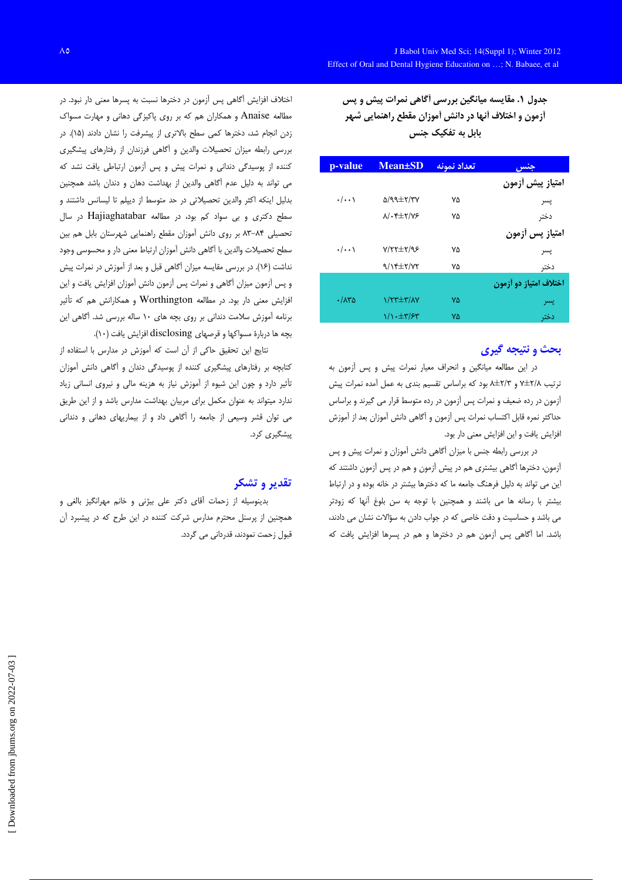جدول ۱. مقایسه میانگین بررسی أگاهی نمرات پیش و پس أزمون و اختلاف أنها در دانش أموزان مقطع راهنمايي شهر بابل به تفکیک جنس

| p-value            | <b>Mean</b> ±SD                  | تعداد نمونه | جنس                    |
|--------------------|----------------------------------|-------------|------------------------|
|                    |                                  |             | امتياز پيش أزمون       |
| $\cdot/\cdot\cdot$ | $\Delta$ /99± $\tau$ /۳۷         | ٧۵          | پسر                    |
|                    | $\lambda/\cdot$ ۴ $\pm$ ۲/۷۶     | ٧۵          | دختر                   |
|                    |                                  |             | امتياز پس أزمون        |
| $\cdot/\cdot\cdot$ | $Y/Y^{\pm Y}$                    | ٧۵          | پسر                    |
|                    | $9/15\pm7/77$                    | ۷۵          | دختر                   |
|                    |                                  |             | اختلاف امتياز دو أزمون |
| .78                | $\frac{1}{\sqrt{1-\frac{1}{2}}}$ | ۷۵          | پسر                    |
|                    | $1/\sqrt{t}$                     | ۷۵          | دختر                   |

## بحث و نتیجه گیری

در این مطالعه میانگین و انحراف معیار نمرات پیش و پس آزمون به ترتیب ۷/x±۲/۸ و ۲/۳±۸ بود که براساس تقسیم بندی به عمل آمده نمرات پیش آزمون در رده ضعیف و نمرات پس آزمون در رده متوسط قرار می گیرند و براساس حداكثر نمره قابل اكتساب نمرات پس آزمون و آگاهی دانش آموزان بعد از آموزش افزایش یافت و این افزایش معنی دار بود.

در بررسی رابطه جنس با میزان آگاهی دانش آموزان و نمرات پیش و پس آزمون، دخترها آگاهی بیشتری هم در پیش آزمون و هم در پس آزمون داشتند که این می تواند به دلیل فرهنگ جامعه ما که دخترها بیشتر در خانه بوده و در ارتباط بیشتر با رسانه ها می باشند و همچنین با توجه به سن بلوغ آنها که زودتر می باشد و حساسیت و دقت خاصی که در جواب دادن به سؤالات نشان می دادند، باشد. اما آگاهی پس آزمون هم در دخترها و هم در پسرها افزایش یافت که

اختلاف افزایش آگاهی پس آزمون در دخترها نسبت به پسرها معنی دار نبود. در مطالعه Anaise و همکاران هم که بر روی پاکیزگی دهانی و مهارت مسواک زدن انجام شد، دخترها كمى سطح بالاترى از پيشرفت را نشان دادند (١۵). در بررسی رابطه میزان تحصیلات والدین و أگاهی فرزندان از رفتارهای پیشگیری کننده از پوسیدگی دندانی و نمرات پیش و پس آزمون ارتباطی یافت نشد که می تواند به دلیل عدم آگاهی والدین از بهداشت دهان و دندان باشد همچنین بدلیل اینکه اکثر والدین تحصیلاتی در حد متوسط از دیپلم تا لیسانس داشتند و سطح دکتری و بی سواد کم بود، در مطالعه Hajiaghatabar در سال تحصیلی ۸۴–۸۳ بر روی دانش آموزان مقطع راهنمایی شهرستان بابل هم بین سطح تحصيلات والدين با آگاهي دانش آموزان ارتباط معنى دار و محسوسي وجود نداشت (۱۶). در بررسی مقایسه میزان آگاهی قبل و بعد از آموزش در نمرات پیش و پس آزمون میزان آگاهی و نمرات پس آزمون دانش آموزان افزایش یافت و این افزایش معنی دار بود. در مطالعه Worthington و همکارانش هم که تأثیر برنامه آموزش سلامت دندانی بر روی بچه های ١٠ ساله بررسی شد. آگاهی این بچه ها دربارهٔ مسواکها و قرصهای disclosing افزایش یافت (۱۰).

نتايج اين تحقيق حاكي از آن است كه آموزش در مدارس با استفاده از کتابچه بر رفتارهای پیشگیری کننده از پوسیدگی دندان و آگاهی دانش آموزان تأثیر دارد و چون این شیوه از آموزش نیاز به هزینه مالی و نیروی انسانی زیاد ندارد میتواند به عنوان مکمل برای مربیان بهداشت مدارس باشد و از این طریق می توان قشر وسیعی از جامعه را آگاهی داد و از بیماریهای دهانی و دندانی بىشگىرى كرد.

## تقدير و تشكر

بدینوسیله از زحمات آقای دکتر علی بیژنی و خانم مهرانگیز بالغی و همچنین از پرسنل محترم مدارس شرکت کننده در این طرح که در پیشبرد آن قبول زحمت نمودند، قدردانی می گردد.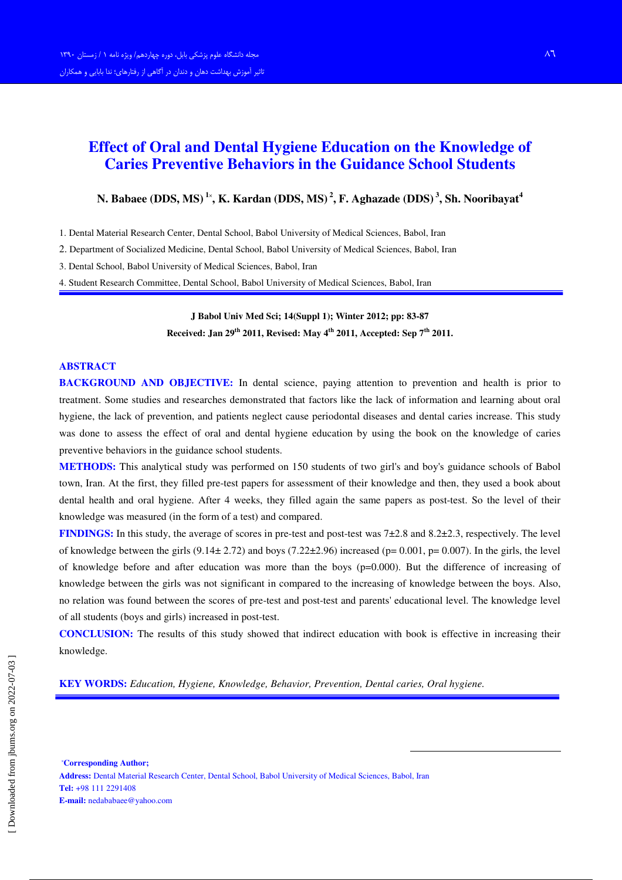# Effect of Oral and Dental Hygiene Education on the Knowledge of Caries Preventive Behaviors in the Guidance School Students

## N. Babaee (DDS, MS)  $^{1x}$ , K. Kardan (DDS, MS)  $^2$ , F. Aghazade (DDS)  $^3$ , Sh. Nooribayat $^4$

1. Dental Material Research Center, Dental School, Babol University of Medical Sciences, Babol, Iran

2. Department of Socialized Medicine, Dental School, Babol University of Medical Sciences, Babol, Iran

3. Dental School, Babol University of Medical Sciences, Babol, Iran

4. Student Research Committee, Dental School, Babol University of Medical Sciences, Babol, Iran

J Babol Univ Med Sci; 14(Suppl 1); Winter 2012; pp: 83-87 Received: Jan 29<sup>th</sup> 2011, Revised: May 4<sup>th</sup> 2011, Accepted: Sep 7<sup>th</sup> 2011.

#### ABSTRACT

BACKGROUND AND OBJECTIVE: In dental science, paying attention to prevention and health is prior to treatment. Some studies and researches demonstrated that factors like the lack of information and learning about oral hygiene, the lack of prevention, and patients neglect cause periodontal diseases and dental caries increase. This study was done to assess the effect of oral and dental hygiene education by using the book on the knowledge of caries preventive behaviors in the guidance school students.

METHODS: This analytical study was performed on 150 students of two girl's and boy's guidance schools of Babol town, Iran. At the first, they filled pre-test papers for assessment of their knowledge and then, they used a book about dental health and oral hygiene. After 4 weeks, they filled again the same papers as post-test. So the level of their knowledge was measured (in the form of a test) and compared.

**FINDINGS:** In this study, the average of scores in pre-test and post-test was  $7\pm2.8$  and  $8.2\pm2.3$ , respectively. The level of knowledge between the girls  $(9.14 \pm 2.72)$  and boys  $(7.22 \pm 2.96)$  increased (p= 0.001, p= 0.007). In the girls, the level of knowledge before and after education was more than the boys  $(p=0.000)$ . But the difference of increasing of knowledge between the girls was not significant in compared to the increasing of knowledge between the boys. Also, no relation was found between the scores of pre-test and post-test and parents' educational level. The knowledge level of all students (boys and girls) increased in post-test.

CONCLUSION: The results of this study showed that indirect education with book is effective in increasing their knowledge.

-

KEY WORDS: Education, Hygiene, Knowledge, Behavior, Prevention, Dental caries, Oral hygiene.

-Corresponding Author; Address: Dental Material Research Center, Dental School, Babol University of Medical Sciences, Babol, Iran Tel: +98 111 2291408 E-mail: nedababaee@yahoo.com